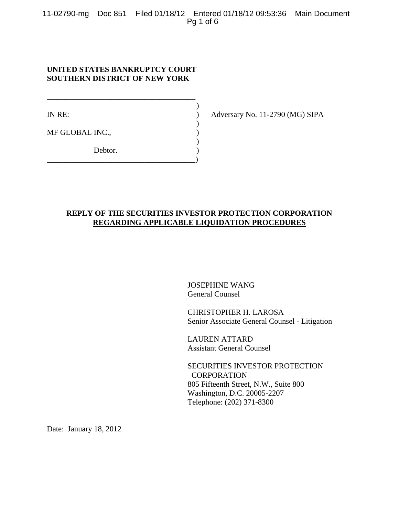11-02790-mg Doc 851 Filed 01/18/12 Entered 01/18/12 09:53:36 Main Document Pg 1 of 6

# **UNITED STATES BANKRUPTCY COURT SOUTHERN DISTRICT OF NEW YORK**

\_\_\_\_\_\_\_\_\_\_\_\_\_\_\_\_\_\_\_\_\_\_\_\_\_\_\_\_\_\_\_\_\_\_\_\_\_\_  $)$ 

 $)$ 

 $)$ 

\_\_\_\_\_\_\_\_\_\_\_\_\_\_\_\_\_\_\_\_\_\_\_\_\_\_\_\_\_\_\_\_\_\_\_\_\_\_)

MF GLOBAL INC.,

Debtor.

IN RE: ) Adversary No. 11-2790 (MG) SIPA

# **REPLY OF THE SECURITIES INVESTOR PROTECTION CORPORATION REGARDING APPLICABLE LIQUIDATION PROCEDURES**

JOSEPHINE WANG General Counsel

CHRISTOPHER H. LAROSA Senior Associate General Counsel - Litigation

LAUREN ATTARD Assistant General Counsel

SECURITIES INVESTOR PROTECTION **CORPORATION** 805 Fifteenth Street, N.W., Suite 800 Washington, D.C. 20005-2207 Telephone: (202) 371-8300

Date: January 18, 2012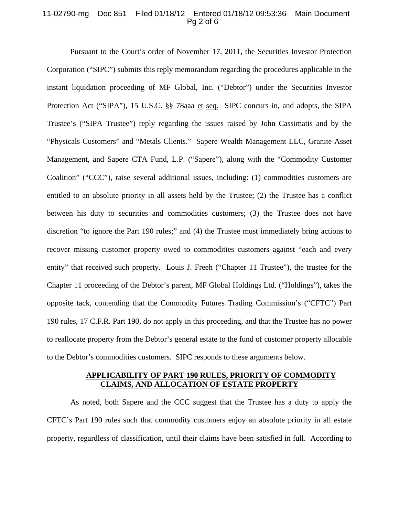## 11-02790-mg Doc 851 Filed 01/18/12 Entered 01/18/12 09:53:36 Main Document Pg 2 of 6

Pursuant to the Court's order of November 17, 2011, the Securities Investor Protection Corporation ("SIPC") submits this reply memorandum regarding the procedures applicable in the instant liquidation proceeding of MF Global, Inc. ("Debtor") under the Securities Investor Protection Act ("SIPA"), 15 U.S.C. §§ 78aaa et seq. SIPC concurs in, and adopts, the SIPA Trustee's ("SIPA Trustee") reply regarding the issues raised by John Cassimatis and by the "Physicals Customers" and "Metals Clients." Sapere Wealth Management LLC, Granite Asset Management, and Sapere CTA Fund, L.P. ("Sapere"), along with the "Commodity Customer Coalition" ("CCC"), raise several additional issues, including: (1) commodities customers are entitled to an absolute priority in all assets held by the Trustee; (2) the Trustee has a conflict between his duty to securities and commodities customers; (3) the Trustee does not have discretion "to ignore the Part 190 rules;" and (4) the Trustee must immediately bring actions to recover missing customer property owed to commodities customers against "each and every entity" that received such property. Louis J. Freeh ("Chapter 11 Trustee"), the trustee for the Chapter 11 proceeding of the Debtor's parent, MF Global Holdings Ltd. ("Holdings"), takes the opposite tack, contending that the Commodity Futures Trading Commission's ("CFTC") Part 190 rules, 17 C.F.R. Part 190, do not apply in this proceeding, and that the Trustee has no power to reallocate property from the Debtor's general estate to the fund of customer property allocable to the Debtor's commodities customers. SIPC responds to these arguments below.

# **APPLICABILITY OF PART 190 RULES, PRIORITY OF COMMODITY CLAIMS, AND ALLOCATION OF ESTATE PROPERTY**

As noted, both Sapere and the CCC suggest that the Trustee has a duty to apply the CFTC's Part 190 rules such that commodity customers enjoy an absolute priority in all estate property, regardless of classification, until their claims have been satisfied in full. According to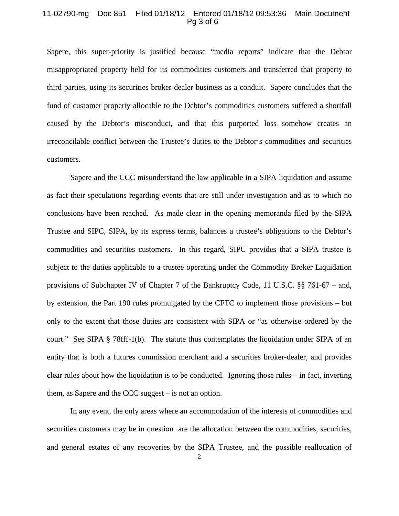### 11-02790-mg Doc 851 Filed 01/18/12 Entered 01/18/12 09:53:36 Main Document Pg 3 of 6

Sapere, this super-priority is justified because "media reports" indicate that the Debtor misappropriated property held for its commodities customers and transferred that property to third parties, using its securities broker-dealer business as a conduit. Sapere concludes that the fund of customer property allocable to the Debtor's commodities customers suffered a shortfall caused by the Debtor's misconduct, and that this purported loss somehow creates an irreconcilable conflict between the Trustee's duties to the Debtor's commodities and securities customers.

Sapere and the CCC misunderstand the law applicable in a SIPA liquidation and assume as fact their speculations regarding events that are still under investigation and as to which no conclusions have been reached. As made clear in the opening memoranda filed by the SIPA Trustee and SIPC, SIPA, by its express terms, balances a trustee's obligations to the Debtor's commodities and securities customers. In this regard, SIPC provides that a SIPA trustee is subject to the duties applicable to a trustee operating under the Commodity Broker Liquidation provisions of Subchapter IV of Chapter 7 of the Bankruptcy Code, 11 U.S.C. §§ 761-67 – and, by extension, the Part 190 rules promulgated by the CFTC to implement those provisions – but only to the extent that those duties are consistent with SIPA or "as otherwise ordered by the court." See SIPA § 78fff-1(b). The statute thus contemplates the liquidation under SIPA of an entity that is both a futures commission merchant and a securities broker-dealer, and provides clear rules about how the liquidation is to be conducted. Ignoring those rules – in fact, inverting them, as Sapere and the CCC suggest – is not an option.

In any event, the only areas where an accommodation of the interests of commodities and securities customers may be in question are the allocation between the commodities, securities, and general estates of any recoveries by the SIPA Trustee, and the possible reallocation of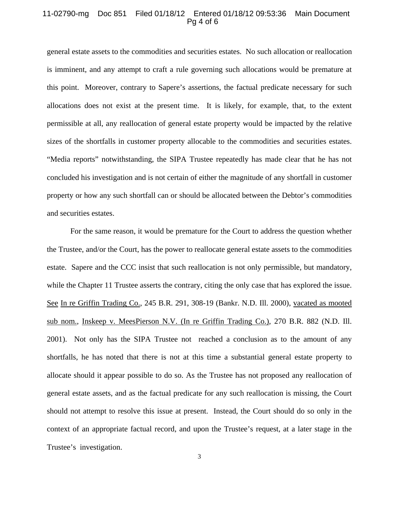### 11-02790-mg Doc 851 Filed 01/18/12 Entered 01/18/12 09:53:36 Main Document Pg 4 of 6

general estate assets to the commodities and securities estates. No such allocation or reallocation is imminent, and any attempt to craft a rule governing such allocations would be premature at this point. Moreover, contrary to Sapere's assertions, the factual predicate necessary for such allocations does not exist at the present time. It is likely, for example, that, to the extent permissible at all, any reallocation of general estate property would be impacted by the relative sizes of the shortfalls in customer property allocable to the commodities and securities estates. "Media reports" notwithstanding, the SIPA Trustee repeatedly has made clear that he has not concluded his investigation and is not certain of either the magnitude of any shortfall in customer property or how any such shortfall can or should be allocated between the Debtor's commodities and securities estates.

For the same reason, it would be premature for the Court to address the question whether the Trustee, and/or the Court, has the power to reallocate general estate assets to the commodities estate. Sapere and the CCC insist that such reallocation is not only permissible, but mandatory, while the Chapter 11 Trustee asserts the contrary, citing the only case that has explored the issue. See In re Griffin Trading Co., 245 B.R. 291, 308-19 (Bankr. N.D. Ill. 2000), vacated as mooted sub nom., Inskeep v. MeesPierson N.V. (In re Griffin Trading Co.), 270 B.R. 882 (N.D. Ill. 2001). Not only has the SIPA Trustee not reached a conclusion as to the amount of any shortfalls, he has noted that there is not at this time a substantial general estate property to allocate should it appear possible to do so. As the Trustee has not proposed any reallocation of general estate assets, and as the factual predicate for any such reallocation is missing, the Court should not attempt to resolve this issue at present. Instead, the Court should do so only in the context of an appropriate factual record, and upon the Trustee's request, at a later stage in the Trustee's investigation.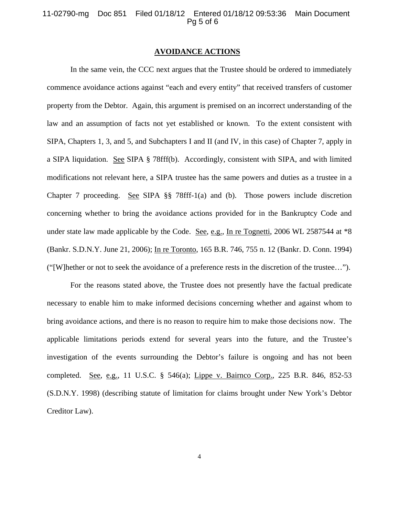#### 11-02790-mg Doc 851 Filed 01/18/12 Entered 01/18/12 09:53:36 Main Document Pg 5 of 6

#### **AVOIDANCE ACTIONS**

 In the same vein, the CCC next argues that the Trustee should be ordered to immediately commence avoidance actions against "each and every entity" that received transfers of customer property from the Debtor. Again, this argument is premised on an incorrect understanding of the law and an assumption of facts not yet established or known. To the extent consistent with SIPA, Chapters 1, 3, and 5, and Subchapters I and II (and IV, in this case) of Chapter 7, apply in a SIPA liquidation. See SIPA § 78fff(b). Accordingly, consistent with SIPA, and with limited modifications not relevant here, a SIPA trustee has the same powers and duties as a trustee in a Chapter 7 proceeding. See SIPA §§ 78fff-1(a) and (b). Those powers include discretion concerning whether to bring the avoidance actions provided for in the Bankruptcy Code and under state law made applicable by the Code. See, e.g., In re Tognetti, 2006 WL 2587544 at  $*8$ (Bankr. S.D.N.Y. June 21, 2006); In re Toronto, 165 B.R. 746, 755 n. 12 (Bankr. D. Conn. 1994) ("[W]hether or not to seek the avoidance of a preference rests in the discretion of the trustee…").

 For the reasons stated above, the Trustee does not presently have the factual predicate necessary to enable him to make informed decisions concerning whether and against whom to bring avoidance actions, and there is no reason to require him to make those decisions now. The applicable limitations periods extend for several years into the future, and the Trustee's investigation of the events surrounding the Debtor's failure is ongoing and has not been completed. See, e.g., 11 U.S.C. § 546(a); Lippe v. Bairnco Corp., 225 B.R. 846, 852-53 (S.D.N.Y. 1998) (describing statute of limitation for claims brought under New York's Debtor Creditor Law).